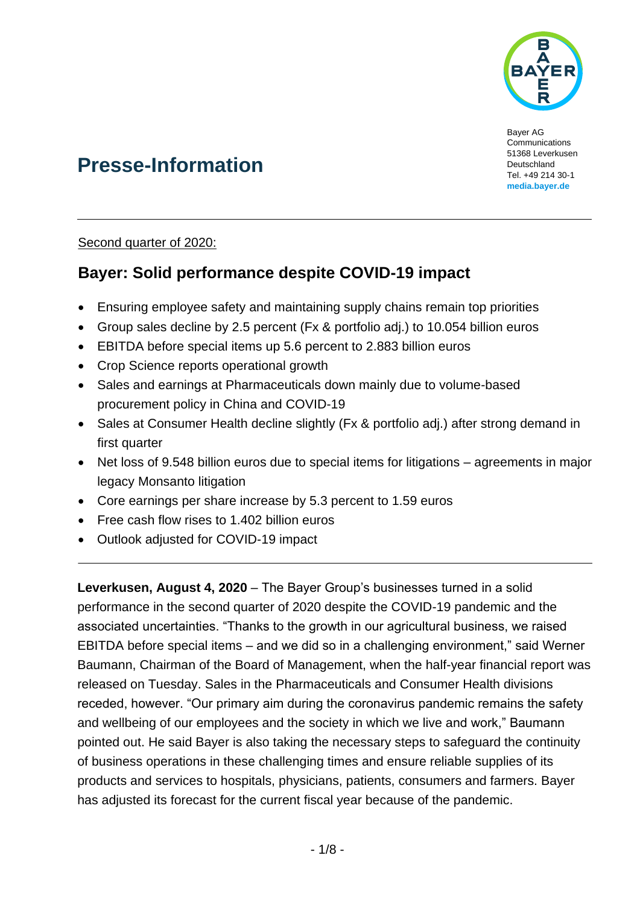

Bayer AG Communications 51368 Leverkusen **Deutschland** Tel. +49 214 30-1 **[media.bayer.de](http://media.bayer.de/)**

# **Presse-Information**

Second quarter of 2020:

## **Bayer: Solid performance despite COVID-19 impact**

- Ensuring employee safety and maintaining supply chains remain top priorities
- Group sales decline by 2.5 percent (Fx & portfolio adj.) to 10.054 billion euros
- EBITDA before special items up 5.6 percent to 2.883 billion euros
- Crop Science reports operational growth
- Sales and earnings at Pharmaceuticals down mainly due to volume-based procurement policy in China and COVID-19
- Sales at Consumer Health decline slightly (Fx & portfolio adj.) after strong demand in first quarter
- Net loss of 9.548 billion euros due to special items for litigations agreements in major legacy Monsanto litigation
- Core earnings per share increase by 5.3 percent to 1.59 euros
- Free cash flow rises to 1.402 billion euros
- Outlook adjusted for COVID-19 impact

**Leverkusen, August 4, 2020** – The Bayer Group's businesses turned in a solid performance in the second quarter of 2020 despite the COVID-19 pandemic and the associated uncertainties. "Thanks to the growth in our agricultural business, we raised EBITDA before special items – and we did so in a challenging environment," said Werner Baumann, Chairman of the Board of Management, when the half-year financial report was released on Tuesday. Sales in the Pharmaceuticals and Consumer Health divisions receded, however. "Our primary aim during the coronavirus pandemic remains the safety and wellbeing of our employees and the society in which we live and work," Baumann pointed out. He said Bayer is also taking the necessary steps to safeguard the continuity of business operations in these challenging times and ensure reliable supplies of its products and services to hospitals, physicians, patients, consumers and farmers. Bayer has adjusted its forecast for the current fiscal year because of the pandemic.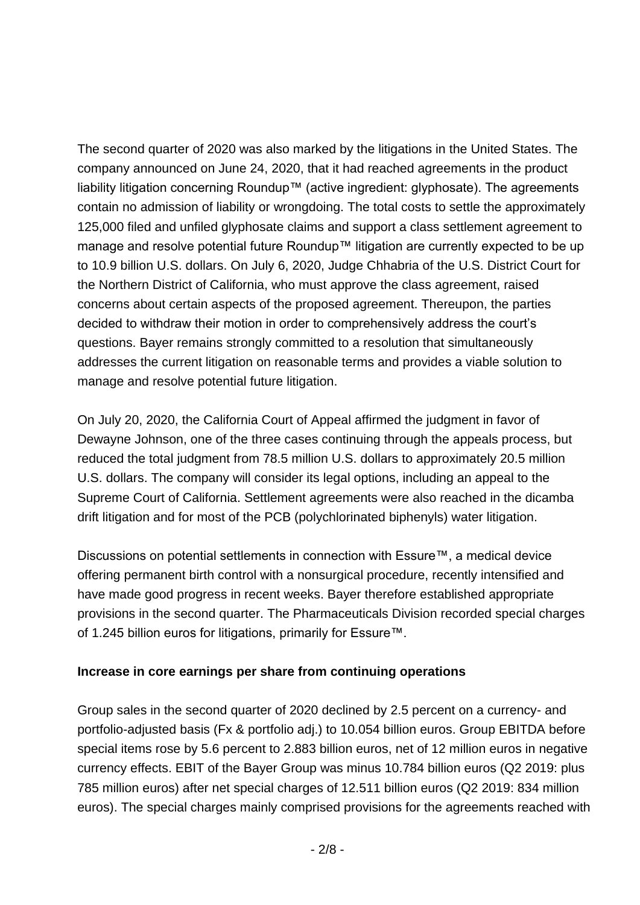The second quarter of 2020 was also marked by the litigations in the United States. The company announced on June 24, 2020, that it had reached agreements in the product liability litigation concerning Roundup™ (active ingredient: glyphosate). The agreements contain no admission of liability or wrongdoing. The total costs to settle the approximately 125,000 filed and unfiled glyphosate claims and support a class settlement agreement to manage and resolve potential future Roundup™ litigation are currently expected to be up to 10.9 billion U.S. dollars. On July 6, 2020, Judge Chhabria of the U.S. District Court for the Northern District of California, who must approve the class agreement, raised concerns about certain aspects of the proposed agreement. Thereupon, the parties decided to withdraw their motion in order to comprehensively address the court's questions. Bayer remains strongly committed to a resolution that simultaneously addresses the current litigation on reasonable terms and provides a viable solution to manage and resolve potential future litigation.

On July 20, 2020, the California Court of Appeal affirmed the judgment in favor of Dewayne Johnson, one of the three cases continuing through the appeals process, but reduced the total judgment from 78.5 million U.S. dollars to approximately 20.5 million U.S. dollars. The company will consider its legal options, including an appeal to the Supreme Court of California. Settlement agreements were also reached in the dicamba drift litigation and for most of the PCB (polychlorinated biphenyls) water litigation.

Discussions on potential settlements in connection with Essure™, a medical device offering permanent birth control with a nonsurgical procedure, recently intensified and have made good progress in recent weeks. Bayer therefore established appropriate provisions in the second quarter. The Pharmaceuticals Division recorded special charges of 1.245 billion euros for litigations, primarily for Essure™.

#### **Increase in core earnings per share from continuing operations**

Group sales in the second quarter of 2020 declined by 2.5 percent on a currency- and portfolio-adjusted basis (Fx & portfolio adj.) to 10.054 billion euros. Group EBITDA before special items rose by 5.6 percent to 2.883 billion euros, net of 12 million euros in negative currency effects. EBIT of the Bayer Group was minus 10.784 billion euros (Q2 2019: plus 785 million euros) after net special charges of 12.511 billion euros (Q2 2019: 834 million euros). The special charges mainly comprised provisions for the agreements reached with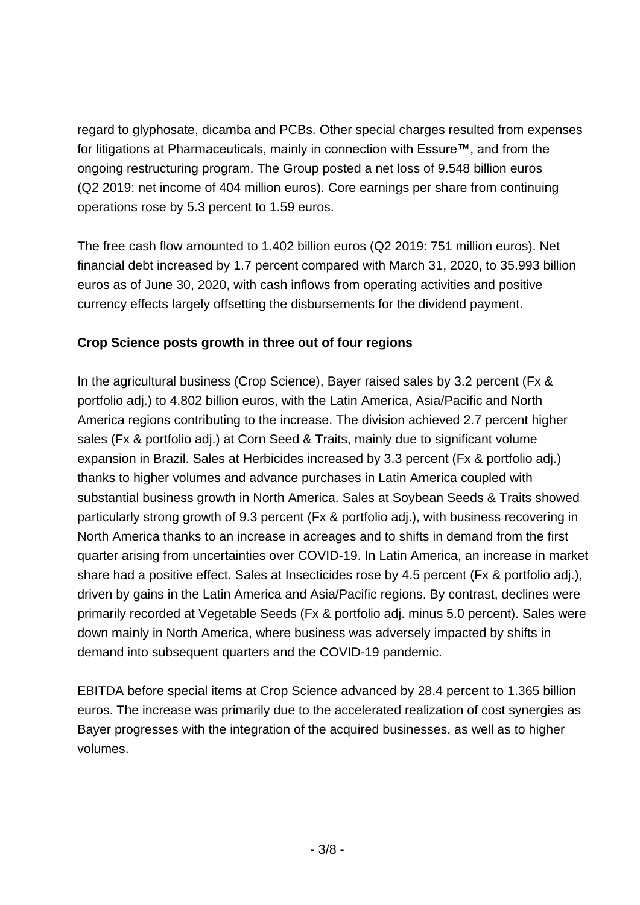regard to glyphosate, dicamba and PCBs. Other special charges resulted from expenses for litigations at Pharmaceuticals, mainly in connection with Essure™, and from the ongoing restructuring program. The Group posted a net loss of 9.548 billion euros (Q2 2019: net income of 404 million euros). Core earnings per share from continuing operations rose by 5.3 percent to 1.59 euros.

The free cash flow amounted to 1.402 billion euros (Q2 2019: 751 million euros). Net financial debt increased by 1.7 percent compared with March 31, 2020, to 35.993 billion euros as of June 30, 2020, with cash inflows from operating activities and positive currency effects largely offsetting the disbursements for the dividend payment.

#### **Crop Science posts growth in three out of four regions**

In the agricultural business (Crop Science), Bayer raised sales by 3.2 percent (Fx & portfolio adj.) to 4.802 billion euros, with the Latin America, Asia/Pacific and North America regions contributing to the increase. The division achieved 2.7 percent higher sales (Fx & portfolio adj.) at Corn Seed & Traits, mainly due to significant volume expansion in Brazil. Sales at Herbicides increased by 3.3 percent (Fx & portfolio adj.) thanks to higher volumes and advance purchases in Latin America coupled with substantial business growth in North America. Sales at Soybean Seeds & Traits showed particularly strong growth of 9.3 percent (Fx & portfolio adj.), with business recovering in North America thanks to an increase in acreages and to shifts in demand from the first quarter arising from uncertainties over COVID-19. In Latin America, an increase in market share had a positive effect. Sales at Insecticides rose by 4.5 percent (Fx & portfolio adj.), driven by gains in the Latin America and Asia/Pacific regions. By contrast, declines were primarily recorded at Vegetable Seeds (Fx & portfolio adj. minus 5.0 percent). Sales were down mainly in North America, where business was adversely impacted by shifts in demand into subsequent quarters and the COVID-19 pandemic.

EBITDA before special items at Crop Science advanced by 28.4 percent to 1.365 billion euros. The increase was primarily due to the accelerated realization of cost synergies as Bayer progresses with the integration of the acquired businesses, as well as to higher volumes.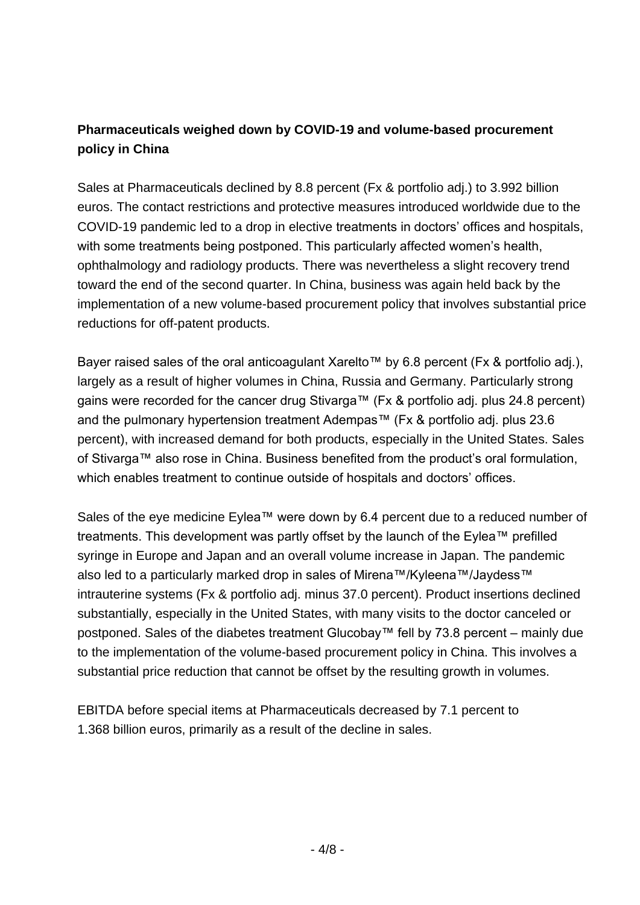### **Pharmaceuticals weighed down by COVID-19 and volume-based procurement policy in China**

Sales at Pharmaceuticals declined by 8.8 percent (Fx & portfolio adj.) to 3.992 billion euros. The contact restrictions and protective measures introduced worldwide due to the COVID-19 pandemic led to a drop in elective treatments in doctors' offices and hospitals, with some treatments being postponed. This particularly affected women's health, ophthalmology and radiology products. There was nevertheless a slight recovery trend toward the end of the second quarter. In China, business was again held back by the implementation of a new volume-based procurement policy that involves substantial price reductions for off-patent products.

Bayer raised sales of the oral anticoagulant Xarelto™ by 6.8 percent (Fx & portfolio adj.), largely as a result of higher volumes in China, Russia and Germany. Particularly strong gains were recorded for the cancer drug Stivarga™ (Fx & portfolio adj. plus 24.8 percent) and the pulmonary hypertension treatment Adempas™ (Fx & portfolio adj. plus 23.6 percent), with increased demand for both products, especially in the United States. Sales of Stivarga™ also rose in China. Business benefited from the product's oral formulation, which enables treatment to continue outside of hospitals and doctors' offices.

Sales of the eye medicine Eylea™ were down by 6.4 percent due to a reduced number of treatments. This development was partly offset by the launch of the Eylea™ prefilled syringe in Europe and Japan and an overall volume increase in Japan. The pandemic also led to a particularly marked drop in sales of Mirena™/Kyleena™/Jaydess™ intrauterine systems (Fx & portfolio adj. minus 37.0 percent). Product insertions declined substantially, especially in the United States, with many visits to the doctor canceled or postponed. Sales of the diabetes treatment Glucobay™ fell by 73.8 percent – mainly due to the implementation of the volume-based procurement policy in China. This involves a substantial price reduction that cannot be offset by the resulting growth in volumes.

EBITDA before special items at Pharmaceuticals decreased by 7.1 percent to 1.368 billion euros, primarily as a result of the decline in sales.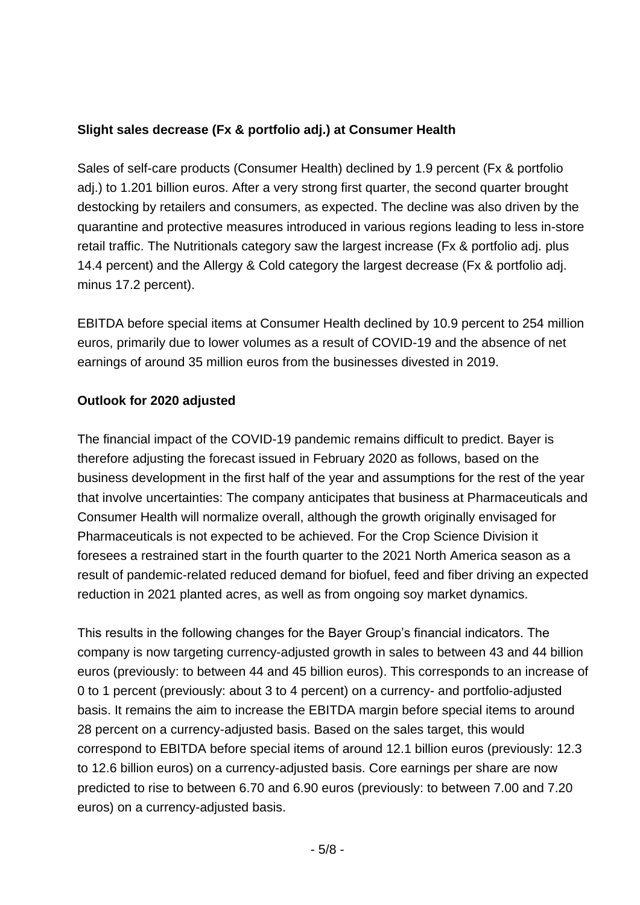#### **Slight sales decrease (Fx & portfolio adj.) at Consumer Health**

Sales of self-care products (Consumer Health) declined by 1.9 percent (Fx & portfolio adj.) to 1.201 billion euros. After a very strong first quarter, the second quarter brought destocking by retailers and consumers, as expected. The decline was also driven by the quarantine and protective measures introduced in various regions leading to less in-store retail traffic. The Nutritionals category saw the largest increase (Fx & portfolio adj. plus 14.4 percent) and the Allergy & Cold category the largest decrease (Fx & portfolio adj. minus 17.2 percent).

EBITDA before special items at Consumer Health declined by 10.9 percent to 254 million euros, primarily due to lower volumes as a result of COVID-19 and the absence of net earnings of around 35 million euros from the businesses divested in 2019.

#### **Outlook for 2020 adjusted**

The financial impact of the COVID-19 pandemic remains difficult to predict. Bayer is therefore adjusting the forecast issued in February 2020 as follows, based on the business development in the first half of the year and assumptions for the rest of the year that involve uncertainties: The company anticipates that business at Pharmaceuticals and Consumer Health will normalize overall, although the growth originally envisaged for Pharmaceuticals is not expected to be achieved. For the Crop Science Division it foresees a restrained start in the fourth quarter to the 2021 North America season as a result of pandemic-related reduced demand for biofuel, feed and fiber driving an expected reduction in 2021 planted acres, as well as from ongoing soy market dynamics.

This results in the following changes for the Bayer Group's financial indicators. The company is now targeting currency-adjusted growth in sales to between 43 and 44 billion euros (previously: to between 44 and 45 billion euros). This corresponds to an increase of 0 to 1 percent (previously: about 3 to 4 percent) on a currency- and portfolio-adjusted basis. It remains the aim to increase the EBITDA margin before special items to around 28 percent on a currency-adjusted basis. Based on the sales target, this would correspond to EBITDA before special items of around 12.1 billion euros (previously: 12.3 to 12.6 billion euros) on a currency-adjusted basis. Core earnings per share are now predicted to rise to between 6.70 and 6.90 euros (previously: to between 7.00 and 7.20 euros) on a currency-adjusted basis.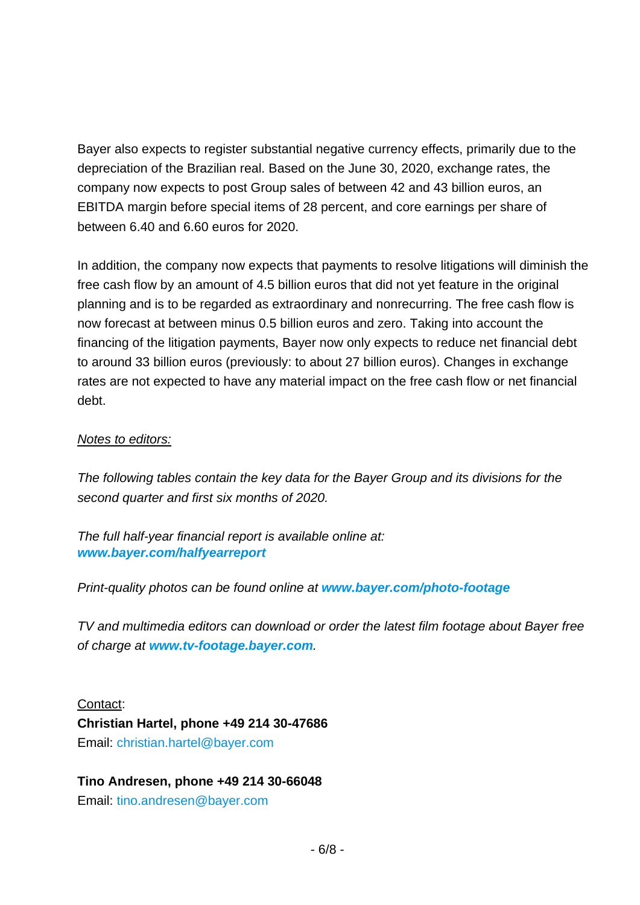Bayer also expects to register substantial negative currency effects, primarily due to the depreciation of the Brazilian real. Based on the June 30, 2020, exchange rates, the company now expects to post Group sales of between 42 and 43 billion euros, an EBITDA margin before special items of 28 percent, and core earnings per share of between 6.40 and 6.60 euros for 2020.

In addition, the company now expects that payments to resolve litigations will diminish the free cash flow by an amount of 4.5 billion euros that did not yet feature in the original planning and is to be regarded as extraordinary and nonrecurring. The free cash flow is now forecast at between minus 0.5 billion euros and zero. Taking into account the financing of the litigation payments, Bayer now only expects to reduce net financial debt to around 33 billion euros (previously: to about 27 billion euros). Changes in exchange rates are not expected to have any material impact on the free cash flow or net financial debt.

#### *Notes to editors:*

*The following tables contain the key data for the Bayer Group and its divisions for the second quarter and first six months of 2020.*

*The full half-year financial report is available online at: [www.bayer.com/halfyearreport](http://www.bayer.com/halfyearreport)*

*Print-quality photos can be found online at [www.bayer.com/photo-footage](https://www.bayer.com/photo-footage)*

*TV and multimedia editors can download or order the latest film footage about Bayer free of charge at [www.tv-footage.bayer.com](https://www.tv-footage.bayer.com/).*

Contact: **Christian Hartel, phone +49 214 30-47686** Email: [christian.hartel@bayer.com](mailto:christian.hartel@bayer.com)

#### **Tino Andresen, phone +49 214 30-66048**

Email: [tino.andresen@bayer.com](mailto:tino.andresen@bayer.com)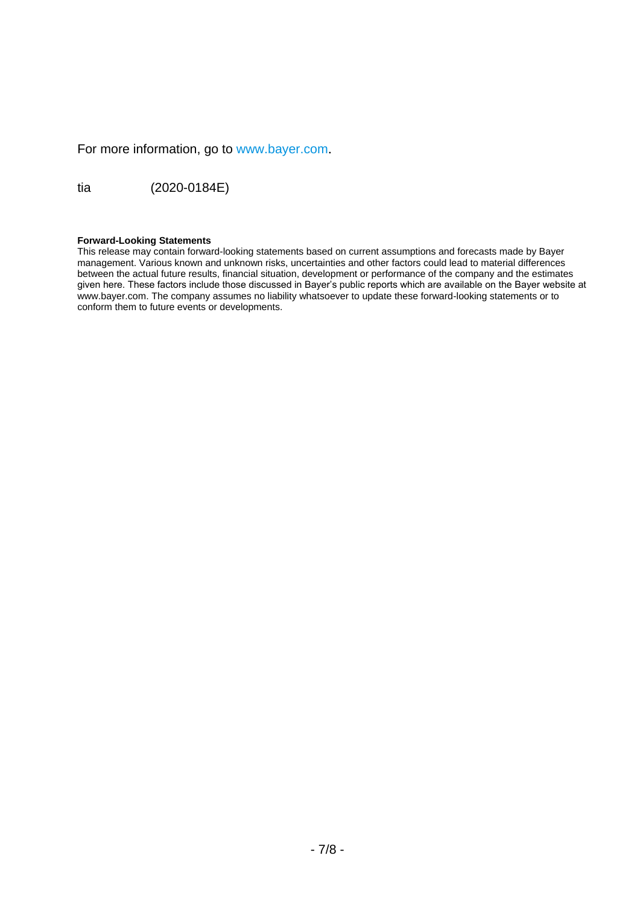For more information, go to [www.bayer.com](http://www.bayer.com/).

tia (2020-0184E)

#### **Forward-Looking Statements**

This release may contain forward-looking statements based on current assumptions and forecasts made by Bayer management. Various known and unknown risks, uncertainties and other factors could lead to material differences between the actual future results, financial situation, development or performance of the company and the estimates given here. These factors include those discussed in Bayer's public reports which are available on the Bayer website at [www.bayer.com.](http://www.bayer.com/) The company assumes no liability whatsoever to update these forward-looking statements or to conform them to future events or developments.